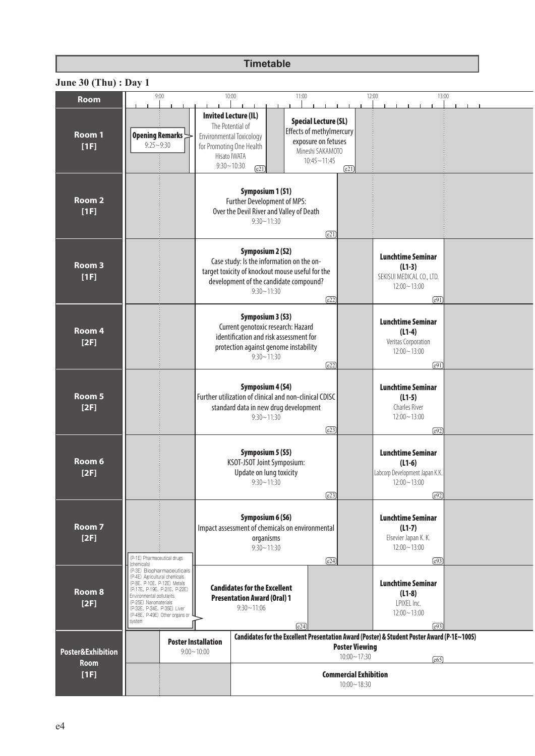## **Timetable**

| <b>Room</b>                      | 9:00                                                                                                                                                                                                                                               |                                              | 10:00                                                                                                                                                                                | 11:00                                                                                                                    | 12:00                                           | 13:00                                                                                                                        |  |
|----------------------------------|----------------------------------------------------------------------------------------------------------------------------------------------------------------------------------------------------------------------------------------------------|----------------------------------------------|--------------------------------------------------------------------------------------------------------------------------------------------------------------------------------------|--------------------------------------------------------------------------------------------------------------------------|-------------------------------------------------|------------------------------------------------------------------------------------------------------------------------------|--|
| Room 1<br>[1F]                   | Opening Remarks<br>$9:25 - 9:30$                                                                                                                                                                                                                   |                                              | <b>Invited Lecture (IL)</b><br>The Potential of<br>Environmental Toxicology<br>for Promoting One Health<br>Hisato IWATA<br>$9:30 - 10:30$<br>$\overline{e21}$                        | <b>Special Lecture (SL)</b><br>Effects of methylmercury<br>exposure on fetuses<br>Mineshi SAKAMOTO<br>$10:45 \sim 11:45$ | $\overline{e21}$                                |                                                                                                                              |  |
| Room <sub>2</sub><br>[1F]        |                                                                                                                                                                                                                                                    |                                              | Symposium 1 (S1)<br>Further Development of MPS:<br>Over the Devil River and Valley of Death<br>$9:30 - 11:30$                                                                        | $\overline{e21}$                                                                                                         |                                                 |                                                                                                                              |  |
| Room 3<br>[1F]                   |                                                                                                                                                                                                                                                    |                                              | <b>Symposium 2 (S2)</b><br>Case study: Is the information on the on-<br>target toxicity of knockout mouse useful for the<br>development of the candidate compound?<br>$9:30 - 11:30$ | $\sqrt{e22}$                                                                                                             |                                                 | <b>Lunchtime Seminar</b><br>$(L1-3)$<br>SEKISUI MEDICAL CO., LTD.<br>$12:00 - 13:00$<br>$\sqrt{e91}$                         |  |
| Room 4<br>[2F]                   |                                                                                                                                                                                                                                                    |                                              | Symposium 3 (S3)<br>Current genotoxic research: Hazard<br>identification and risk assessment for<br>protection against genome instability<br>$9:30 - 11:30$                          | $\sqrt{e22}$                                                                                                             |                                                 | <b>Lunchtime Seminar</b><br>$(L1-4)$<br>Veritas Corporation<br>$12:00 - 13:00$<br>$\sqrt{e91}$                               |  |
| Room 5<br>[2F]                   |                                                                                                                                                                                                                                                    |                                              | Symposium 4 (S4)<br>Further utilization of clinical and non-clinical CDISC<br>standard data in new drug development<br>$9:30 - 11:30$                                                | $\sqrt{e23}$                                                                                                             |                                                 | <b>Lunchtime Seminar</b><br>$(L1-5)$<br>Charles River<br>$12:00 - 13:00$<br>$\sqrt{e92}$                                     |  |
| Room <sub>6</sub><br>[2F]        |                                                                                                                                                                                                                                                    |                                              | Symposium 5 (S5)<br>KSOT-JSOT Joint Symposium:<br>Update on lung toxicity<br>$9:30 \sim 11:30$                                                                                       | (e23)                                                                                                                    |                                                 | <b>Lunchtime Seminar</b><br>$(L1-6)$<br>Labcorp Development Japan K.K.<br>$12:00 - 13:00$<br>e92)                            |  |
| Room 7<br>[2F]                   | (P-1E) Pharmaceutical drugs<br>(chemicals)                                                                                                                                                                                                         |                                              | Symposium 6 (S6)<br>Impact assessment of chemicals on environmental<br>organisms<br>$9:30 - 11:30$                                                                                   | $\sqrt{e24}$                                                                                                             |                                                 | Lunchtime Seminar<br>$(L1-7)$<br>Elsevier Japan K. K.<br>$12:00 - 13:00$<br>$\sqrt{e93}$                                     |  |
| Room <sub>8</sub><br>[2F]        | (P-3E) Biopharmaceuticals<br>(P-4E) Agricultural chemicals<br>(P-8E、P-10E、P-12E) Metals<br>(P-17E、P-19E、P-21E、P-22E)<br>Environmental pollutants<br>(P-25E) Nanomaterials<br>(P-32E、P-34E、P-35E) Liver<br>(P-48E, P-49E) Other organs or<br>system |                                              | <b>Candidates for the Excellent</b><br><b>Presentation Award (Oral) 1</b><br>$9:30 - 11:06$                                                                                          | $\sqrt{e24}$                                                                                                             |                                                 | <b>Lunchtime Seminar</b><br>$(L1-8)$<br>LPIXEL Inc.<br>$12:00 - 13:00$<br>$\sqrt{e93}$                                       |  |
| Poster&Exhibition<br><b>Room</b> |                                                                                                                                                                                                                                                    | <b>Poster Installation</b><br>$9:00 - 10:00$ |                                                                                                                                                                                      |                                                                                                                          | <b>Poster Viewing</b><br>$10:00 - 17:30$        | Candidates for the Excellent Presentation Award (Poster) & Student Poster Award (P-1E~100S)<br>$\left[\overline{665}\right]$ |  |
| [1F]                             |                                                                                                                                                                                                                                                    |                                              |                                                                                                                                                                                      |                                                                                                                          | <b>Commercial Exhibition</b><br>$10:00 - 18:30$ |                                                                                                                              |  |

## **June 30 (Thu) : Day 1**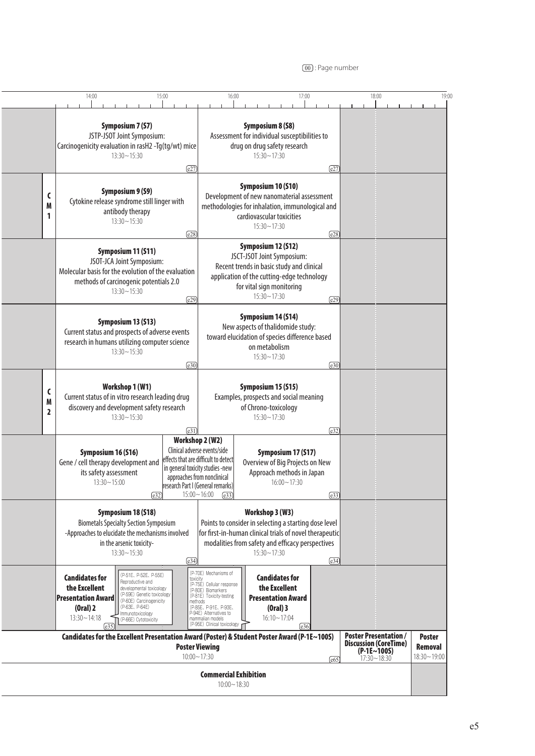<sup>00</sup> : Page number

|                                                                                                                                                                                                                                                                                                          | 14:00                                                                                              |                                                                                                                                                                                                      | 15:00                                                                                                                                    | 16:00                                                                                                                                                                                                                               |                                                                                                                                                                                             | 17:00                                                                 |              | 18:00 | 19:00                                       |
|----------------------------------------------------------------------------------------------------------------------------------------------------------------------------------------------------------------------------------------------------------------------------------------------------------|----------------------------------------------------------------------------------------------------|------------------------------------------------------------------------------------------------------------------------------------------------------------------------------------------------------|------------------------------------------------------------------------------------------------------------------------------------------|-------------------------------------------------------------------------------------------------------------------------------------------------------------------------------------------------------------------------------------|---------------------------------------------------------------------------------------------------------------------------------------------------------------------------------------------|-----------------------------------------------------------------------|--------------|-------|---------------------------------------------|
|                                                                                                                                                                                                                                                                                                          |                                                                                                    | <b>Symposium 7 (S7)</b><br>JSTP-JSOT Joint Symposium:<br>Carcinogenicity evaluation in rasH2 -Tg(tg/wt) mice<br>$13:30 - 15:30$                                                                      | <b>Symposium 8 (S8)</b><br>Assessment for individual susceptibilities to<br>drug on drug safety research<br>$15:30 - 17:30$              |                                                                                                                                                                                                                                     |                                                                                                                                                                                             |                                                                       |              |       |                                             |
| C<br>M<br>1                                                                                                                                                                                                                                                                                              |                                                                                                    | Symposium 9 (S9)<br>Cytokine release syndrome still linger with<br>antibody therapy<br>$13:30 - 15:30$                                                                                               |                                                                                                                                          | Symposium 10 (S10)<br>Development of new nanomaterial assessment<br>methodologies for inhalation, immunological and<br>cardiovascular toxicities<br>$15:30 - 17:30$                                                                 |                                                                                                                                                                                             |                                                                       |              |       |                                             |
|                                                                                                                                                                                                                                                                                                          |                                                                                                    | Symposium 11 (S11)<br>JSOT-JCA Joint Symposium:<br>Molecular basis for the evolution of the evaluation<br>methods of carcinogenic potentials 2.0<br>$13:30 - 15:30$                                  | $\sqrt{e28}$<br>$\sqrt{e29}$                                                                                                             |                                                                                                                                                                                                                                     | Symposium 12 (S12)<br>JSCT-JSOT Joint Symposium:<br>Recent trends in basic study and clinical<br>application of the cutting-edge technology<br>for vital sign monitoring<br>$15:30 - 17:30$ |                                                                       |              |       |                                             |
|                                                                                                                                                                                                                                                                                                          |                                                                                                    | Symposium 13 (S13)<br>Current status and prospects of adverse events<br>research in humans utilizing computer science<br>$13:30 - 15:30$                                                             |                                                                                                                                          | Symposium 14 (S14)<br>New aspects of thalidomide study:<br>toward elucidation of species difference based<br>on metabolism<br>$15:30 - 17:30$                                                                                       |                                                                                                                                                                                             |                                                                       |              |       |                                             |
| C<br>M<br>$\overline{2}$                                                                                                                                                                                                                                                                                 |                                                                                                    | Workshop 1 (W1)<br>Current status of in vitro research leading drug<br>discovery and development safety research<br>$13:30 - 15:30$                                                                  | Symposium 15 (S15)<br>Examples, prospects and social meaning<br>of Chrono-toxicology<br>$15:30 - 17:30$<br>$\boxed{e31}$<br>$\sqrt{e32}$ |                                                                                                                                                                                                                                     |                                                                                                                                                                                             |                                                                       |              |       |                                             |
|                                                                                                                                                                                                                                                                                                          |                                                                                                    | Symposium 16 (S16)<br>Gene / cell therapy development and<br>its safety assessment<br>$13:30 - 15:00$<br>$\left($ e32 $\right)$                                                                      |                                                                                                                                          | Workshop 2 (W2)<br>Clinical adverse events/side<br>effects that are difficult to detect<br>in general toxicity studies -new<br>approaches from nonclinical<br>research Part I (General remarks)<br>$15:00 - 16:00$<br>$\left($ e33) | Overview of Big Projects on New                                                                                                                                                             | Symposium 17 (S17)<br>Approach methods in Japan<br>$16:00 \sim 17:30$ | $\sqrt{e33}$ |       |                                             |
|                                                                                                                                                                                                                                                                                                          |                                                                                                    | Symposium 18 (S18)<br><b>Biometals Specialty Section Symposium</b><br>-Approaches to elucidate the mechanisms involved<br>in the arsenic toxicity-<br>$13:30 - 15:30$                                | $\sqrt{e34}$                                                                                                                             | Workshop 3 (W3)<br>Points to consider in selecting a starting dose level<br>for first-in-human clinical trials of novel therapeutic<br>modalities from safety and efficacy perspectives<br>$15:30 - 17:30$                          |                                                                                                                                                                                             |                                                                       | $\sqrt{e34}$ |       |                                             |
|                                                                                                                                                                                                                                                                                                          | <b>Candidates for</b><br>the Excellent<br><b>Presentation Award</b><br>(Oral) 2<br>$13:30 - 14:18$ | (P-51E, P-52E, P-55E)<br>Reproductive and<br>developmental toxicology<br>(P-59E) Genetic toxicology<br>(P-60E) Carcinogenicity<br>(P-63E, P-64E)<br>Immunotoxicology<br>(P-66E) Cytotoxicity<br>(e35 | toxicity                                                                                                                                 | (P-70E) Mechanisms of<br>(P-75E) Cellular response<br>(P-80E) Biomarkers<br>(P-81E) Toxicity-testing<br>methods<br>(P-85E, P-91E, P-93E,<br>P-94E) Alternatives to<br>mammalian models<br>(P-95E) Clinical toxicology r             | <b>Candidates for</b><br>the Excellent<br><b>Presentation Award</b><br>$(Oral)$ 3<br>$16:10 - 17:04$                                                                                        | $\sqrt{e36}$                                                          |              |       |                                             |
| <b>Poster Presentation/</b><br>Candidates for the Excellent Presentation Award (Poster) & Student Poster Award (P-1E~100S)<br><b>Discussion (CoreTime)</b><br><b>Poster Viewing</b><br>$(P-1E~100S)$<br>$10:00 - 17:30$<br>17:30~18:30<br>$\sqrt{65}$<br><b>Commercial Exhibition</b><br>$10:00 - 18:30$ |                                                                                                    |                                                                                                                                                                                                      |                                                                                                                                          |                                                                                                                                                                                                                                     |                                                                                                                                                                                             |                                                                       |              |       | <b>Poster</b><br>Removal<br>$18:30 - 19:00$ |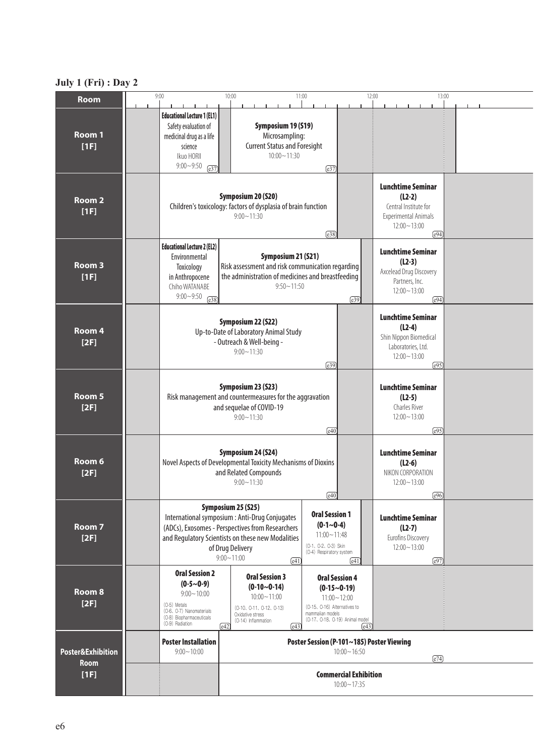## **July 1 (Fri) : Day 2**

| <b>Room</b>                                         | 9:00                                                                                                                                                                                                                                                                                                                                                         | 10:00                                                                                                                                                            |                                         |                                                                                                |       | 11:00                                                                                                  |                                        | 12:00                                                                                                   |                                                                                                                 | 13:00        |  |  |
|-----------------------------------------------------|--------------------------------------------------------------------------------------------------------------------------------------------------------------------------------------------------------------------------------------------------------------------------------------------------------------------------------------------------------------|------------------------------------------------------------------------------------------------------------------------------------------------------------------|-----------------------------------------|------------------------------------------------------------------------------------------------|-------|--------------------------------------------------------------------------------------------------------|----------------------------------------|---------------------------------------------------------------------------------------------------------|-----------------------------------------------------------------------------------------------------------------|--------------|--|--|
| Room 1<br>[1F]                                      | <b>Educational Lecture 1 (EL1)</b><br>Safety evaluation of<br>medicinal drug as a life<br>science<br>Ikuo HORII<br>$9:00 - 9:50$<br>$\sqrt{e37}$                                                                                                                                                                                                             |                                                                                                                                                                  |                                         | Symposium 19 (S19)<br>Microsampling:<br><b>Current Status and Foresight</b><br>$10:00 - 11:30$ |       | $\sqrt{e37}$                                                                                           |                                        |                                                                                                         |                                                                                                                 |              |  |  |
| Room <sub>2</sub><br>[1F]                           | Symposium 20 (S20)<br>Children's toxicology: factors of dysplasia of brain function<br>$9:00 - 11:30$<br>$\sqrt{e38}$                                                                                                                                                                                                                                        |                                                                                                                                                                  |                                         |                                                                                                |       |                                                                                                        |                                        |                                                                                                         | <b>Lunchtime Seminar</b><br>$(L2-2)$<br>Central Institute for<br><b>Experimental Animals</b><br>$12:00 - 13:00$ | $\sqrt{e94}$ |  |  |
| Room <sub>3</sub><br>[1F]                           | <b>Educational Lecture 2 (EL2)</b><br>Environmental<br>Toxicology<br>in Anthropocene<br>Chiho WATANABE<br>$9:00 - 9:50$<br>$\sqrt{e38}$                                                                                                                                                                                                                      | Symposium 21 (S21)<br>Risk assessment and risk communication regarding<br>the administration of medicines and breastfeeding<br>$9:50 \sim 11:50$<br>$\left($ e39 |                                         |                                                                                                |       |                                                                                                        |                                        |                                                                                                         | <b>Lunchtime Seminar</b><br>$(L2-3)$<br>Axcelead Drug Discovery<br>Partners, Inc.<br>$12:00 \sim 13:00$         | $\sqrt{e94}$ |  |  |
| Room 4<br>[2F]                                      | Symposium 22 (S22)<br>Up-to-Date of Laboratory Animal Study<br>- Outreach & Well-being -<br>$9:00 - 11:30$<br>$\sqrt{e39}$                                                                                                                                                                                                                                   |                                                                                                                                                                  |                                         |                                                                                                |       |                                                                                                        |                                        | <b>Lunchtime Seminar</b><br>$(L2-4)$<br>Shin Nippon Biomedical<br>Laboratories, Ltd.<br>$12:00 - 13:00$ | $\sqrt{e95}$                                                                                                    |              |  |  |
| Room 5<br>[2F]                                      | Symposium 23 (S23)<br>Risk management and countermeasures for the aggravation<br>and sequelae of COVID-19<br>$9:00 - 11:30$<br>$\boxed{e40}$                                                                                                                                                                                                                 |                                                                                                                                                                  |                                         |                                                                                                |       |                                                                                                        |                                        | <b>Lunchtime Seminar</b><br>$(L2-5)$<br>Charles River<br>$12:00 - 13:00$                                | $\sqrt{e95}$                                                                                                    |              |  |  |
| Room 6<br>[2F]                                      | Symposium 24 (S24)<br>Novel Aspects of Developmental Toxicity Mechanisms of Dioxins<br>and Related Compounds<br>$9:00 - 11:30$<br>$\left[$ e40]                                                                                                                                                                                                              |                                                                                                                                                                  |                                         |                                                                                                |       |                                                                                                        |                                        | <b>Lunchtime Seminar</b><br>$(L2-6)$<br>NIKON CORPORATION<br>$12:00 - 13:00$                            | [e96]                                                                                                           |              |  |  |
| Room <sub>7</sub><br>[2F]                           | Symposium 25 (S25)<br><b>Oral Session 1</b><br>International symposium : Anti-Drug Conjugates<br>$(0-1~0-4)$<br>(ADCs), Exosomes - Perspectives from Researchers<br>$11:00 - 11:48$<br>and Regulatory Scientists on these new Modalities<br>(0-1, 0-2, 0-3) Skin<br>of Drug Delivery<br>(0-4) Respiratory system<br>$9:00 - 11:00$<br>$\boxed{e41}$<br>[e41] |                                                                                                                                                                  |                                         |                                                                                                |       |                                                                                                        |                                        | <b>Lunchtime Seminar</b><br>$(L2-7)$<br>Eurofins Discovery<br>$12:00 - 13:00$                           | $\sqrt{e97}$                                                                                                    |              |  |  |
| Room <sub>8</sub><br>[2F]                           | <b>Oral Session 2</b><br>$(0-5~0-9)$<br>$9:00 - 10:00$<br>(O-5) Metals<br>(O-6, O-7) Nanomaterials<br>(O-8) Biopharmaceuticals<br>(O-9) Radiation                                                                                                                                                                                                            | $\sqrt{e42}$                                                                                                                                                     | Oxidative stress<br>(O-14) Inflammation | <b>Oral Session 3</b><br>$(0-10-0-14)$<br>$10:00 - 11:00$<br>(0-10, 0-11, 0-12, 0-13)          | [e43] | $11:00 - 12:00$<br>(0-15, 0-16) Alternatives to<br>mammalian models<br>(0-17, 0-18, 0-19) Animal model | <b>Oral Session 4</b><br>$(0-15~0-19)$ | [e43]                                                                                                   |                                                                                                                 |              |  |  |
| <b>Poster&amp;Exhibition</b><br><b>Room</b><br>[1F] | <b>Poster Installation</b><br>$9:00 - 10:00$                                                                                                                                                                                                                                                                                                                 |                                                                                                                                                                  |                                         |                                                                                                |       | Poster Session (P-101~185) Poster Viewing                                                              | $10:00 - 16:50$                        |                                                                                                         |                                                                                                                 | $\sqrt{e74}$ |  |  |
|                                                     |                                                                                                                                                                                                                                                                                                                                                              | <b>Commercial Exhibition</b><br>$10:00 - 17:35$                                                                                                                  |                                         |                                                                                                |       |                                                                                                        |                                        |                                                                                                         |                                                                                                                 |              |  |  |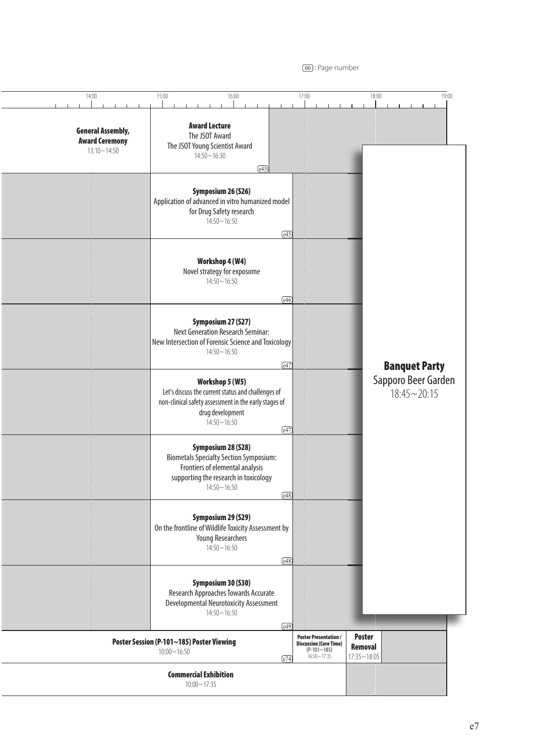<sup>00</sup> : Page number

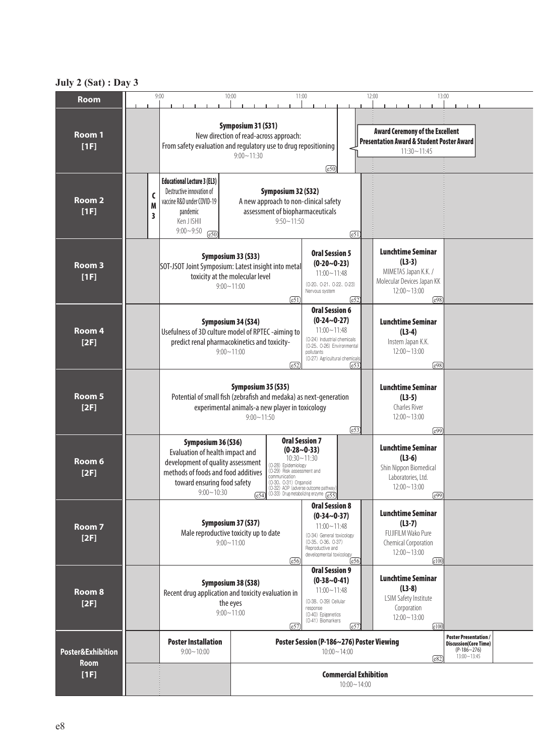## **July 2 (Sat) : Day 3**

| <b>Room</b>                          |             | 9:00                                                                                                                                                                               | 10:00                                                                                                                                                                                                                                                                                           | 11:00                                                                                                                                                                                       | 12:00                                                                                                                         | 13:00 |  |  |  |  |
|--------------------------------------|-------------|------------------------------------------------------------------------------------------------------------------------------------------------------------------------------------|-------------------------------------------------------------------------------------------------------------------------------------------------------------------------------------------------------------------------------------------------------------------------------------------------|---------------------------------------------------------------------------------------------------------------------------------------------------------------------------------------------|-------------------------------------------------------------------------------------------------------------------------------|-------|--|--|--|--|
| Room 1<br>[1F]                       |             | Symposium 31 (S31)<br>New direction of read-across approach:<br>From safety evaluation and regulatory use to drug repositioning                                                    | <b>Award Ceremony of the Excellent</b><br><b>Presentation Award &amp; Student Poster Award</b>                                                                                                                                                                                                  |                                                                                                                                                                                             |                                                                                                                               |       |  |  |  |  |
| Room <sub>2</sub><br>[1F]            | C<br>M<br>3 | <b>Educational Lecture 3 (EL3)</b><br>Destructive innovation of<br>vaccine R&D under COVID-19<br>pandemic<br>Ken J ISHII<br>$9:00 - 9:50$<br>$\overline{e50}$                      | Symposium 32 (S32)<br>A new approach to non-clinical safety<br>assessment of biopharmaceuticals<br>$9:50 - 11:50$                                                                                                                                                                               |                                                                                                                                                                                             |                                                                                                                               |       |  |  |  |  |
| Room 3<br>[1F]                       |             |                                                                                                                                                                                    | Symposium 33 (S33)<br>SOT-JSOT Joint Symposium: Latest insight into metal<br>toxicity at the molecular level<br>$9:00 - 11:00$<br>$\sqrt{e51}$                                                                                                                                                  | <b>Oral Session 5</b><br>$(0-20-0-23)$<br>$11:00 - 11:48$<br>(0-20, 0-21, 0-22, 0-23)<br>Nervous system<br>$\sqrt{e52}$                                                                     | <b>Lunchtime Seminar</b><br>$(L3-3)$<br>MIMETAS Japan K.K. /<br>Molecular Devices Japan KK<br>$12:00 - 13:00$<br>$\sqrt{e98}$ |       |  |  |  |  |
| Room <sub>4</sub><br>[2F]            |             |                                                                                                                                                                                    | Symposium 34 (S34)<br>Usefulness of 3D culture model of RPTEC -aiming to<br>predict renal pharmacokinetics and toxicity-<br>$9:00 - 11:00$<br>[e52]                                                                                                                                             | <b>Oral Session 6</b><br>$(0-24-0-27)$<br>$11:00 - 11:48$<br>(O-24) Industrial chemicals<br>(0-25, 0-26) Environmental<br>pollutants<br>(0-27) Agricultural chemicals<br>$\left[653\right]$ | <b>Lunchtime Seminar</b><br>$(L3-4)$<br>Instem Japan K.K.<br>$12:00 - 13:00$<br>e98)                                          |       |  |  |  |  |
| Room 5<br>[2F]                       |             |                                                                                                                                                                                    | Symposium 35 (S35)<br>Potential of small fish (zebrafish and medaka) as next-generation<br>experimental animals-a new player in toxicology<br>$9:00 \sim 11:50$                                                                                                                                 | <b>Lunchtime Seminar</b><br>$(L3-5)$<br>Charles River<br>$12:00 - 13:00$<br>$\sqrt{e99}$                                                                                                    |                                                                                                                               |       |  |  |  |  |
| Room 6<br>[2F]                       |             | Symposium 36 (S36)<br>Evaluation of health impact and<br>development of quality assessment<br>methods of foods and food additives<br>toward ensuring food safety<br>$9:00 - 10:30$ | <b>Oral Session 7</b><br>$(0-28-0-33)$<br>$10:30 - 11:30$<br>(0-28) Epidemiology<br>(0-29) Risk assessment and<br>communication<br>(0-30, 0-31) Organoid<br>(O-32) AOP (adverse outcome pathway)<br>$\left(\overline{e54}\right)$ (0-33) Drug-metabolizing enzyme $\left(\overline{e55}\right)$ | <b>Lunchtime Seminar</b><br>$(L3-6)$<br>Shin Nippon Biomedical<br>Laboratories, Ltd.<br>$12:00 - 13:00$<br>(e99)                                                                            |                                                                                                                               |       |  |  |  |  |
| Room 7<br>[2F]                       |             |                                                                                                                                                                                    | Symposium 37 (S37)<br>Male reproductive toxicity up to date<br>$9:00 - 11:00$<br>[e56]                                                                                                                                                                                                          | <b>Oral Session 8</b><br>$(0-34-0-37)$<br>$11:00 - 11:48$<br>(0-34) General toxicology<br>(0-35、0-36、0-37)<br>Reproductive and<br>developmental toxicology<br>[e56]                         | <b>Lunchtime Seminar</b><br>$(L3-7)$<br>FUJIFILM Wako Pure<br>Chemical Corporation<br>$12:00 - 13:00$<br>$\boxed{e100}$       |       |  |  |  |  |
| Room 8<br>[2F]                       |             | Symposium 38 (S38)<br>Recent drug application and toxicity evaluation in<br>the eyes<br>$9:00 - 11:00$                                                                             | $\boxed{e100}$                                                                                                                                                                                                                                                                                  |                                                                                                                                                                                             |                                                                                                                               |       |  |  |  |  |
| <b>Poster&amp;Exhibition</b><br>Room |             | <b>Poster Installation</b><br>$9:00 - 10:00$                                                                                                                                       | Poster Session (P-186~276) Poster Viewing<br>$10:00 - 14:00$<br>$\sqrt{682}$                                                                                                                                                                                                                    |                                                                                                                                                                                             |                                                                                                                               |       |  |  |  |  |
| [1F]                                 |             | <b>Commercial Exhibition</b><br>$10:00 - 14:00$                                                                                                                                    |                                                                                                                                                                                                                                                                                                 |                                                                                                                                                                                             |                                                                                                                               |       |  |  |  |  |